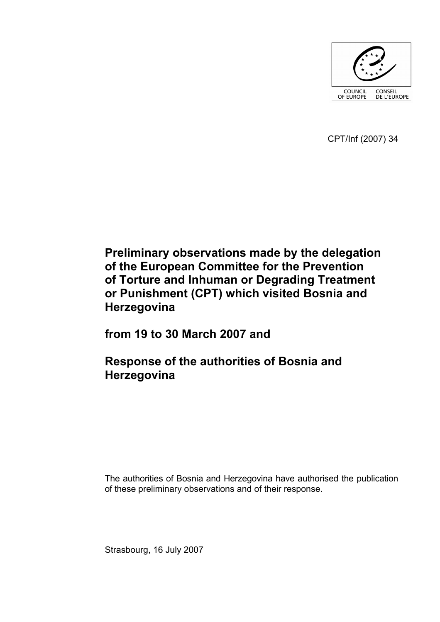

CPT/Inf (2007) 34

# **Preliminary observations made by the delegation of the European Committee for the Prevention of Torture and Inhuman or Degrading Treatment or Punishment (CPT) which visited Bosnia and Herzegovina**

**from 19 to 30 March 2007 and** 

# **Response of the authorities of Bosnia and Herzegovina**

The authorities of Bosnia and Herzegovina have authorised the publication of these preliminary observations and of their response.

Strasbourg, 16 July 2007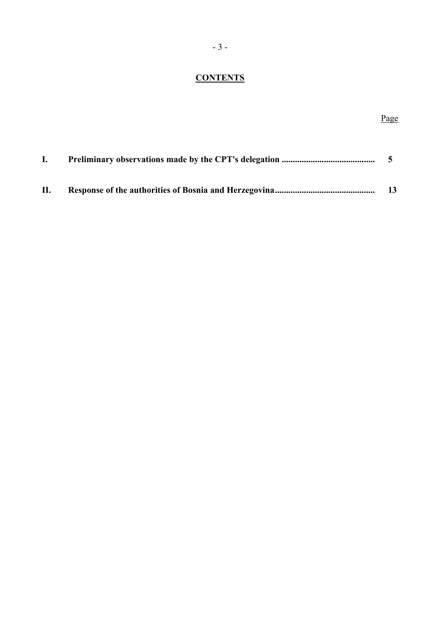# **CONTENTS**

# Page

| $\bf{L}$ |    |
|----------|----|
| П.       | 13 |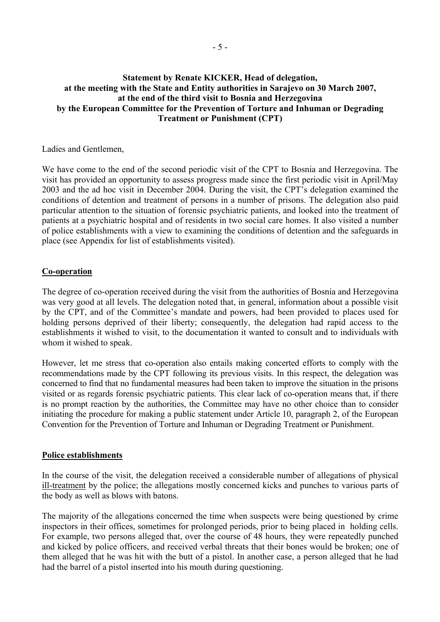## **Statement by Renate KICKER, Head of delegation, at the meeting with the State and Entity authorities in Sarajevo on 30 March 2007, at the end of the third visit to Bosnia and Herzegovina by the European Committee for the Prevention of Torture and Inhuman or Degrading Treatment or Punishment (CPT)**

Ladies and Gentlemen,

We have come to the end of the second periodic visit of the CPT to Bosnia and Herzegovina. The visit has provided an opportunity to assess progress made since the first periodic visit in April/May 2003 and the ad hoc visit in December 2004. During the visit, the CPT's delegation examined the conditions of detention and treatment of persons in a number of prisons. The delegation also paid particular attention to the situation of forensic psychiatric patients, and looked into the treatment of patients at a psychiatric hospital and of residents in two social care homes. It also visited a number of police establishments with a view to examining the conditions of detention and the safeguards in place (see Appendix for list of establishments visited).

## **Co-operation**

The degree of co-operation received during the visit from the authorities of Bosnia and Herzegovina was very good at all levels. The delegation noted that, in general, information about a possible visit by the CPT, and of the Committee's mandate and powers, had been provided to places used for holding persons deprived of their liberty; consequently, the delegation had rapid access to the establishments it wished to visit, to the documentation it wanted to consult and to individuals with whom it wished to speak.

However, let me stress that co-operation also entails making concerted efforts to comply with the recommendations made by the CPT following its previous visits. In this respect, the delegation was concerned to find that no fundamental measures had been taken to improve the situation in the prisons visited or as regards forensic psychiatric patients. This clear lack of co-operation means that, if there is no prompt reaction by the authorities, the Committee may have no other choice than to consider initiating the procedure for making a public statement under Article 10, paragraph 2, of the European Convention for the Prevention of Torture and Inhuman or Degrading Treatment or Punishment.

#### **Police establishments**

In the course of the visit, the delegation received a considerable number of allegations of physical ill-treatment by the police; the allegations mostly concerned kicks and punches to various parts of the body as well as blows with batons.

The majority of the allegations concerned the time when suspects were being questioned by crime inspectors in their offices, sometimes for prolonged periods, prior to being placed in holding cells. For example, two persons alleged that, over the course of 48 hours, they were repeatedly punched and kicked by police officers, and received verbal threats that their bones would be broken; one of them alleged that he was hit with the butt of a pistol. In another case, a person alleged that he had had the barrel of a pistol inserted into his mouth during questioning.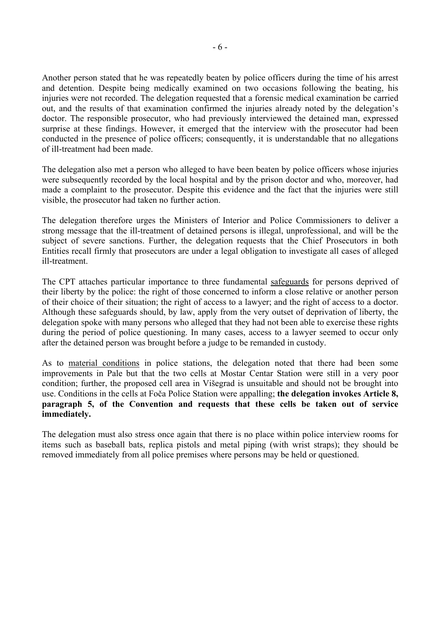Another person stated that he was repeatedly beaten by police officers during the time of his arrest and detention. Despite being medically examined on two occasions following the beating, his injuries were not recorded. The delegation requested that a forensic medical examination be carried out, and the results of that examination confirmed the injuries already noted by the delegation's doctor. The responsible prosecutor, who had previously interviewed the detained man, expressed surprise at these findings. However, it emerged that the interview with the prosecutor had been conducted in the presence of police officers; consequently, it is understandable that no allegations of ill-treatment had been made.

The delegation also met a person who alleged to have been beaten by police officers whose injuries were subsequently recorded by the local hospital and by the prison doctor and who, moreover, had made a complaint to the prosecutor. Despite this evidence and the fact that the injuries were still visible, the prosecutor had taken no further action.

The delegation therefore urges the Ministers of Interior and Police Commissioners to deliver a strong message that the ill-treatment of detained persons is illegal, unprofessional, and will be the subject of severe sanctions. Further, the delegation requests that the Chief Prosecutors in both Entities recall firmly that prosecutors are under a legal obligation to investigate all cases of alleged ill-treatment.

The CPT attaches particular importance to three fundamental safeguards for persons deprived of their liberty by the police: the right of those concerned to inform a close relative or another person of their choice of their situation; the right of access to a lawyer; and the right of access to a doctor. Although these safeguards should, by law, apply from the very outset of deprivation of liberty, the delegation spoke with many persons who alleged that they had not been able to exercise these rights during the period of police questioning. In many cases, access to a lawyer seemed to occur only after the detained person was brought before a judge to be remanded in custody.

As to material conditions in police stations, the delegation noted that there had been some improvements in Pale but that the two cells at Mostar Centar Station were still in a very poor condition; further, the proposed cell area in Višegrad is unsuitable and should not be brought into use. Conditions in the cells at Foča Police Station were appalling; **the delegation invokes Article 8, paragraph 5, of the Convention and requests that these cells be taken out of service immediately.** 

The delegation must also stress once again that there is no place within police interview rooms for items such as baseball bats, replica pistols and metal piping (with wrist straps); they should be removed immediately from all police premises where persons may be held or questioned.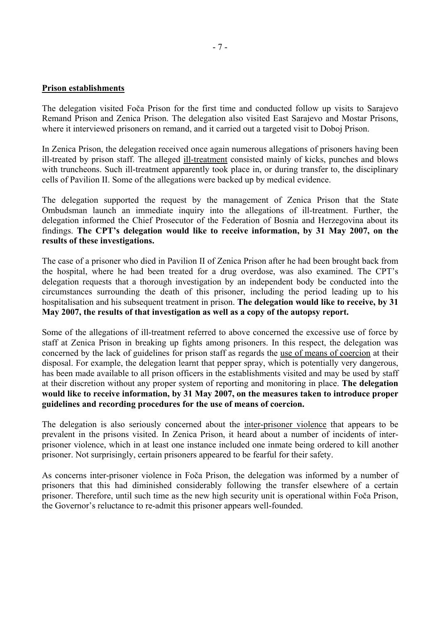#### **Prison establishments**

The delegation visited Foča Prison for the first time and conducted follow up visits to Sarajevo Remand Prison and Zenica Prison. The delegation also visited East Sarajevo and Mostar Prisons, where it interviewed prisoners on remand, and it carried out a targeted visit to Doboj Prison.

In Zenica Prison, the delegation received once again numerous allegations of prisoners having been ill-treated by prison staff. The alleged ill-treatment consisted mainly of kicks, punches and blows with truncheons. Such ill-treatment apparently took place in, or during transfer to, the disciplinary cells of Pavilion II. Some of the allegations were backed up by medical evidence.

The delegation supported the request by the management of Zenica Prison that the State Ombudsman launch an immediate inquiry into the allegations of ill-treatment. Further, the delegation informed the Chief Prosecutor of the Federation of Bosnia and Herzegovina about its findings. **The CPT's delegation would like to receive information, by 31 May 2007, on the results of these investigations.** 

The case of a prisoner who died in Pavilion II of Zenica Prison after he had been brought back from the hospital, where he had been treated for a drug overdose, was also examined. The CPT's delegation requests that a thorough investigation by an independent body be conducted into the circumstances surrounding the death of this prisoner, including the period leading up to his hospitalisation and his subsequent treatment in prison. **The delegation would like to receive, by 31 May 2007, the results of that investigation as well as a copy of the autopsy report.** 

Some of the allegations of ill-treatment referred to above concerned the excessive use of force by staff at Zenica Prison in breaking up fights among prisoners. In this respect, the delegation was concerned by the lack of guidelines for prison staff as regards the use of means of coercion at their disposal. For example, the delegation learnt that pepper spray, which is potentially very dangerous, has been made available to all prison officers in the establishments visited and may be used by staff at their discretion without any proper system of reporting and monitoring in place. **The delegation would like to receive information, by 31 May 2007, on the measures taken to introduce proper guidelines and recording procedures for the use of means of coercion.**

The delegation is also seriously concerned about the inter-prisoner violence that appears to be prevalent in the prisons visited. In Zenica Prison, it heard about a number of incidents of interprisoner violence, which in at least one instance included one inmate being ordered to kill another prisoner. Not surprisingly, certain prisoners appeared to be fearful for their safety.

As concerns inter-prisoner violence in Foča Prison, the delegation was informed by a number of prisoners that this had diminished considerably following the transfer elsewhere of a certain prisoner. Therefore, until such time as the new high security unit is operational within Foča Prison, the Governor's reluctance to re-admit this prisoner appears well-founded.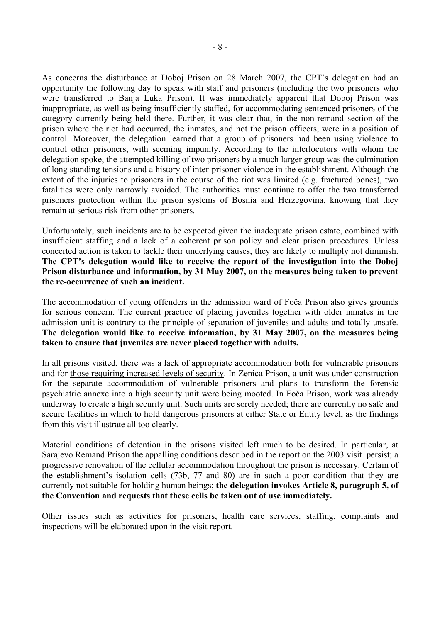As concerns the disturbance at Doboj Prison on 28 March 2007, the CPT's delegation had an opportunity the following day to speak with staff and prisoners (including the two prisoners who were transferred to Banja Luka Prison). It was immediately apparent that Doboj Prison was inappropriate, as well as being insufficiently staffed, for accommodating sentenced prisoners of the category currently being held there. Further, it was clear that, in the non-remand section of the prison where the riot had occurred, the inmates, and not the prison officers, were in a position of control. Moreover, the delegation learned that a group of prisoners had been using violence to control other prisoners, with seeming impunity. According to the interlocutors with whom the delegation spoke, the attempted killing of two prisoners by a much larger group was the culmination of long standing tensions and a history of inter-prisoner violence in the establishment. Although the extent of the injuries to prisoners in the course of the riot was limited (e.g. fractured bones), two fatalities were only narrowly avoided. The authorities must continue to offer the two transferred prisoners protection within the prison systems of Bosnia and Herzegovina, knowing that they remain at serious risk from other prisoners.

Unfortunately, such incidents are to be expected given the inadequate prison estate, combined with insufficient staffing and a lack of a coherent prison policy and clear prison procedures. Unless concerted action is taken to tackle their underlying causes, they are likely to multiply not diminish. **The CPT's delegation would like to receive the report of the investigation into the Doboj Prison disturbance and information, by 31 May 2007, on the measures being taken to prevent the re-occurrence of such an incident.**

The accommodation of young offenders in the admission ward of Foča Prison also gives grounds for serious concern. The current practice of placing juveniles together with older inmates in the admission unit is contrary to the principle of separation of juveniles and adults and totally unsafe. **The delegation would like to receive information, by 31 May 2007, on the measures being taken to ensure that juveniles are never placed together with adults.** 

In all prisons visited, there was a lack of appropriate accommodation both for vulnerable prisoners and for those requiring increased levels of security. In Zenica Prison, a unit was under construction for the separate accommodation of vulnerable prisoners and plans to transform the forensic psychiatric annexe into a high security unit were being mooted. In Foča Prison, work was already underway to create a high security unit. Such units are sorely needed; there are currently no safe and secure facilities in which to hold dangerous prisoners at either State or Entity level, as the findings from this visit illustrate all too clearly.

Material conditions of detention in the prisons visited left much to be desired. In particular, at Sarajevo Remand Prison the appalling conditions described in the report on the 2003 visit persist; a progressive renovation of the cellular accommodation throughout the prison is necessary. Certain of the establishment's isolation cells (73b, 77 and 80) are in such a poor condition that they are currently not suitable for holding human beings; **the delegation invokes Article 8, paragraph 5, of the Convention and requests that these cells be taken out of use immediately.** 

Other issues such as activities for prisoners, health care services, staffing, complaints and inspections will be elaborated upon in the visit report.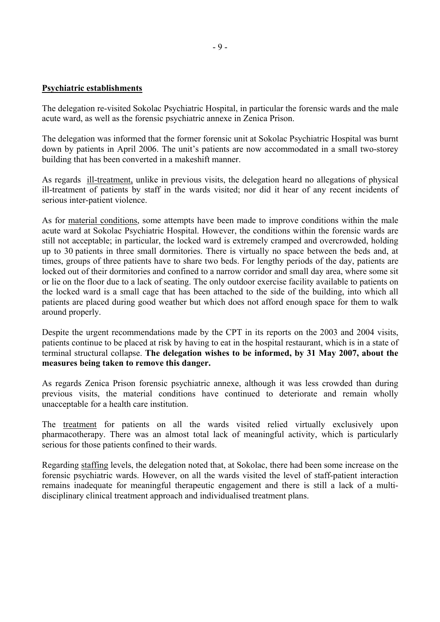#### **Psychiatric establishments**

The delegation re-visited Sokolac Psychiatric Hospital, in particular the forensic wards and the male acute ward, as well as the forensic psychiatric annexe in Zenica Prison.

The delegation was informed that the former forensic unit at Sokolac Psychiatric Hospital was burnt down by patients in April 2006. The unit's patients are now accommodated in a small two-storey building that has been converted in a makeshift manner.

As regards ill-treatment, unlike in previous visits, the delegation heard no allegations of physical ill-treatment of patients by staff in the wards visited; nor did it hear of any recent incidents of serious inter-patient violence.

As for material conditions, some attempts have been made to improve conditions within the male acute ward at Sokolac Psychiatric Hospital. However, the conditions within the forensic wards are still not acceptable; in particular, the locked ward is extremely cramped and overcrowded, holding up to 30 patients in three small dormitories. There is virtually no space between the beds and, at times, groups of three patients have to share two beds. For lengthy periods of the day, patients are locked out of their dormitories and confined to a narrow corridor and small day area, where some sit or lie on the floor due to a lack of seating. The only outdoor exercise facility available to patients on the locked ward is a small cage that has been attached to the side of the building, into which all patients are placed during good weather but which does not afford enough space for them to walk around properly.

Despite the urgent recommendations made by the CPT in its reports on the 2003 and 2004 visits, patients continue to be placed at risk by having to eat in the hospital restaurant, which is in a state of terminal structural collapse. **The delegation wishes to be informed, by 31 May 2007, about the measures being taken to remove this danger.**

As regards Zenica Prison forensic psychiatric annexe, although it was less crowded than during previous visits, the material conditions have continued to deteriorate and remain wholly unacceptable for a health care institution.

The treatment for patients on all the wards visited relied virtually exclusively upon pharmacotherapy. There was an almost total lack of meaningful activity, which is particularly serious for those patients confined to their wards.

Regarding staffing levels, the delegation noted that, at Sokolac, there had been some increase on the forensic psychiatric wards. However, on all the wards visited the level of staff-patient interaction remains inadequate for meaningful therapeutic engagement and there is still a lack of a multidisciplinary clinical treatment approach and individualised treatment plans.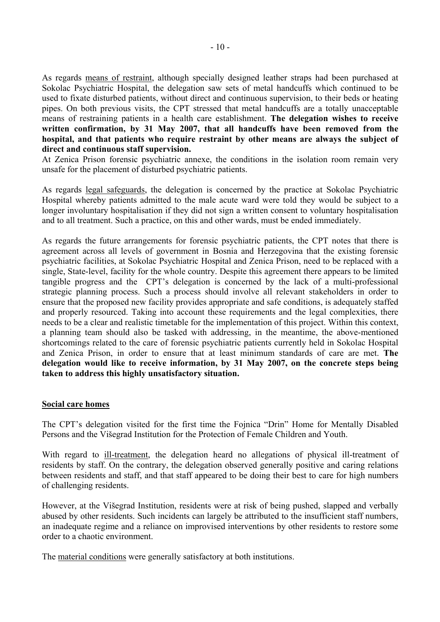As regards means of restraint, although specially designed leather straps had been purchased at Sokolac Psychiatric Hospital, the delegation saw sets of metal handcuffs which continued to be used to fixate disturbed patients, without direct and continuous supervision, to their beds or heating pipes. On both previous visits, the CPT stressed that metal handcuffs are a totally unacceptable means of restraining patients in a health care establishment. **The delegation wishes to receive written confirmation, by 31 May 2007, that all handcuffs have been removed from the hospital, and that patients who require restraint by other means are always the subject of direct and continuous staff supervision.** 

At Zenica Prison forensic psychiatric annexe, the conditions in the isolation room remain very unsafe for the placement of disturbed psychiatric patients.

As regards legal safeguards, the delegation is concerned by the practice at Sokolac Psychiatric Hospital whereby patients admitted to the male acute ward were told they would be subject to a longer involuntary hospitalisation if they did not sign a written consent to voluntary hospitalisation and to all treatment. Such a practice, on this and other wards, must be ended immediately.

As regards the future arrangements for forensic psychiatric patients, the CPT notes that there is agreement across all levels of government in Bosnia and Herzegovina that the existing forensic psychiatric facilities, at Sokolac Psychiatric Hospital and Zenica Prison, need to be replaced with a single, State-level, facility for the whole country. Despite this agreement there appears to be limited tangible progress and the CPT's delegation is concerned by the lack of a multi-professional strategic planning process. Such a process should involve all relevant stakeholders in order to ensure that the proposed new facility provides appropriate and safe conditions, is adequately staffed and properly resourced. Taking into account these requirements and the legal complexities, there needs to be a clear and realistic timetable for the implementation of this project. Within this context, a planning team should also be tasked with addressing, in the meantime, the above-mentioned shortcomings related to the care of forensic psychiatric patients currently held in Sokolac Hospital and Zenica Prison, in order to ensure that at least minimum standards of care are met. **The delegation would like to receive information, by 31 May 2007, on the concrete steps being taken to address this highly unsatisfactory situation.** 

#### **Social care homes**

The CPT's delegation visited for the first time the Fojnica "Drin" Home for Mentally Disabled Persons and the Višegrad Institution for the Protection of Female Children and Youth.

With regard to ill-treatment, the delegation heard no allegations of physical ill-treatment of residents by staff. On the contrary, the delegation observed generally positive and caring relations between residents and staff, and that staff appeared to be doing their best to care for high numbers of challenging residents.

However, at the Višegrad Institution, residents were at risk of being pushed, slapped and verbally abused by other residents. Such incidents can largely be attributed to the insufficient staff numbers, an inadequate regime and a reliance on improvised interventions by other residents to restore some order to a chaotic environment.

The material conditions were generally satisfactory at both institutions.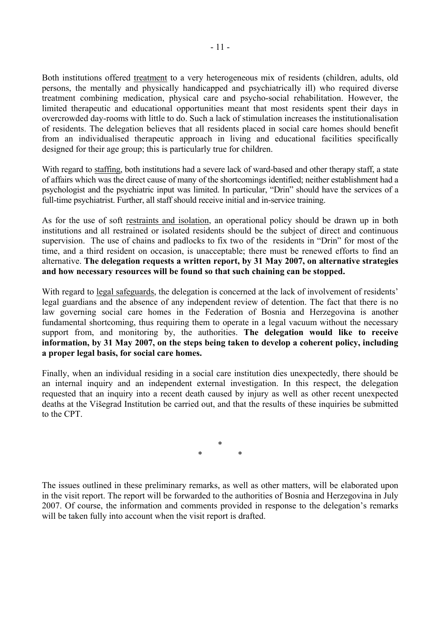Both institutions offered treatment to a very heterogeneous mix of residents (children, adults, old persons, the mentally and physically handicapped and psychiatrically ill) who required diverse treatment combining medication, physical care and psycho-social rehabilitation. However, the limited therapeutic and educational opportunities meant that most residents spent their days in overcrowded day-rooms with little to do. Such a lack of stimulation increases the institutionalisation of residents. The delegation believes that all residents placed in social care homes should benefit from an individualised therapeutic approach in living and educational facilities specifically designed for their age group; this is particularly true for children.

With regard to staffing, both institutions had a severe lack of ward-based and other therapy staff, a state of affairs which was the direct cause of many of the shortcomings identified; neither establishment had a psychologist and the psychiatric input was limited. In particular, "Drin" should have the services of a full-time psychiatrist. Further, all staff should receive initial and in-service training.

As for the use of soft restraints and isolation, an operational policy should be drawn up in both institutions and all restrained or isolated residents should be the subject of direct and continuous supervision. The use of chains and padlocks to fix two of the residents in "Drin" for most of the time, and a third resident on occasion, is unacceptable; there must be renewed efforts to find an alternative. **The delegation requests a written report, by 31 May 2007, on alternative strategies and how necessary resources will be found so that such chaining can be stopped.** 

With regard to legal safeguards, the delegation is concerned at the lack of involvement of residents' legal guardians and the absence of any independent review of detention. The fact that there is no law governing social care homes in the Federation of Bosnia and Herzegovina is another fundamental shortcoming, thus requiring them to operate in a legal vacuum without the necessary support from, and monitoring by, the authorities. **The delegation would like to receive information, by 31 May 2007, on the steps being taken to develop a coherent policy, including a proper legal basis, for social care homes.** 

Finally, when an individual residing in a social care institution dies unexpectedly, there should be an internal inquiry and an independent external investigation. In this respect, the delegation requested that an inquiry into a recent death caused by injury as well as other recent unexpected deaths at the Višegrad Institution be carried out, and that the results of these inquiries be submitted to the CPT.

> \* \* \*

The issues outlined in these preliminary remarks, as well as other matters, will be elaborated upon in the visit report. The report will be forwarded to the authorities of Bosnia and Herzegovina in July 2007. Of course, the information and comments provided in response to the delegation's remarks will be taken fully into account when the visit report is drafted.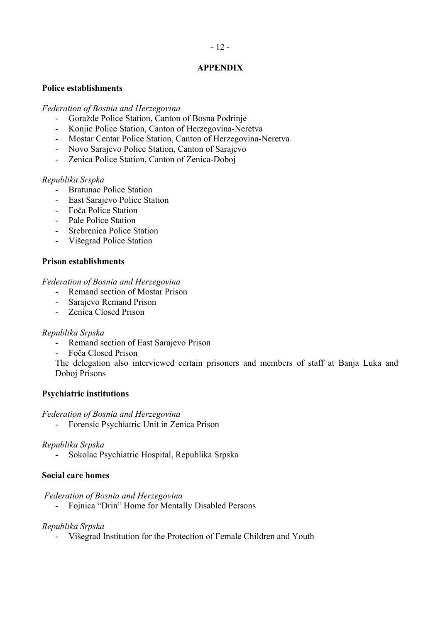# - 12 -

#### **APPENDIX**

#### **Police establishments**

#### *Federation of Bosnia and Herzegovina*

- Goražde Police Station, Canton of Bosna Podrinje
- Konjic Police Station, Canton of Herzegovina-Neretva
- Mostar Centar Police Station, Canton of Herzegovina-Neretva
- Novo Sarajevo Police Station, Canton of Sarajevo
- Zenica Police Station, Canton of Zenica-Doboj

## *Republika Srspka*

- Bratunac Police Station
- East Sarajevo Police Station
- Foča Police Station
- Pale Police Station
- Srebrenica Police Station
- Višegrad Police Station

## **Prison establishments**

#### *Federation of Bosnia and Herzegovina*

- Remand section of Mostar Prison
- Sarajevo Remand Prison
- Zenica Closed Prison

#### *Republika Srpska*

- Remand section of East Sarajevo Prison
- Foča Closed Prison

The delegation also interviewed certain prisoners and members of staff at Banja Luka and Doboj Prisons

# **Psychiatric institutions**

#### *Federation of Bosnia and Herzegovina*

- Forensic Psychiatric Unit in Zenica Prison

#### *Republika Srpska*

- Sokolac Psychiatric Hospital, Republika Srpska

#### **Social care homes**

#### *Federation of Bosnia and Herzegovina*

- Fojnica "Drin" Home for Mentally Disabled Persons

# *Republika Srpska*

- Višegrad Institution for the Protection of Female Children and Youth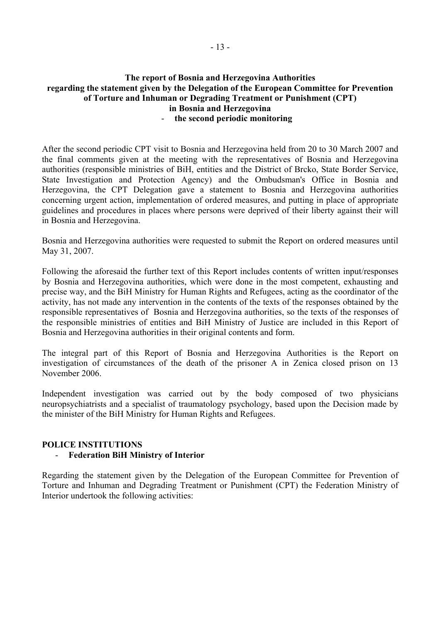## **The report of Bosnia and Herzegovina Authorities regarding the statement given by the Delegation of the European Committee for Prevention of Torture and Inhuman or Degrading Treatment or Punishment (CPT) in Bosnia and Herzegovina**  - **the second periodic monitoring**

After the second periodic CPT visit to Bosnia and Herzegovina held from 20 to 30 March 2007 and the final comments given at the meeting with the representatives of Bosnia and Herzegovina authorities (responsible ministries of BiH, entities and the District of Brcko, State Border Service, State Investigation and Protection Agency) and the Ombudsman's Office in Bosnia and Herzegovina, the CPT Delegation gave a statement to Bosnia and Herzegovina authorities concerning urgent action, implementation of ordered measures, and putting in place of appropriate guidelines and procedures in places where persons were deprived of their liberty against their will in Bosnia and Herzegovina.

Bosnia and Herzegovina authorities were requested to submit the Report on ordered measures until May 31, 2007.

Following the aforesaid the further text of this Report includes contents of written input/responses by Bosnia and Herzegovina authorities, which were done in the most competent, exhausting and precise way, and the BiH Ministry for Human Rights and Refugees, acting as the coordinator of the activity, has not made any intervention in the contents of the texts of the responses obtained by the responsible representatives of Bosnia and Herzegovina authorities, so the texts of the responses of the responsible ministries of entities and BiH Ministry of Justice are included in this Report of Bosnia and Herzegovina authorities in their original contents and form.

The integral part of this Report of Bosnia and Herzegovina Authorities is the Report on investigation of circumstances of the death of the prisoner A in Zenica closed prison on 13 November 2006.

Independent investigation was carried out by the body composed of two physicians neuropsychiatrists and a specialist of traumatology psychology, based upon the Decision made by the minister of the BiH Ministry for Human Rights and Refugees.

# **POLICE INSTITUTIONS**

# - **Federation BiH Ministry of Interior**

Regarding the statement given by the Delegation of the European Committee for Prevention of Torture and Inhuman and Degrading Treatment or Punishment (CPT) the Federation Ministry of Interior undertook the following activities: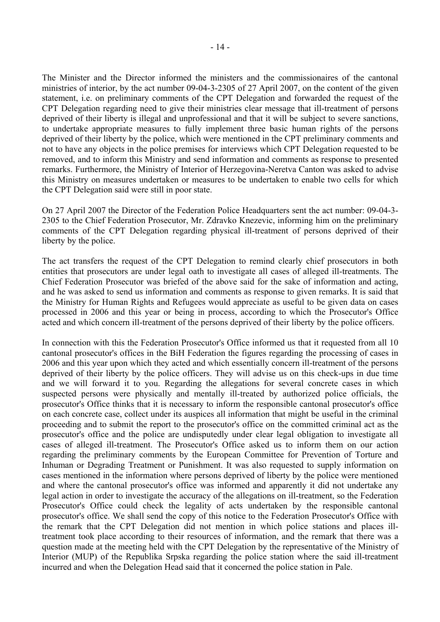The Minister and the Director informed the ministers and the commissionaires of the cantonal ministries of interior, by the act number 09-04-3-2305 of 27 April 2007, on the content of the given statement, i.e. on preliminary comments of the CPT Delegation and forwarded the request of the CPT Delegation regarding need to give their ministries clear message that ill-treatment of persons deprived of their liberty is illegal and unprofessional and that it will be subject to severe sanctions, to undertake appropriate measures to fully implement three basic human rights of the persons deprived of their liberty by the police, which were mentioned in the CPT preliminary comments and not to have any objects in the police premises for interviews which CPT Delegation requested to be removed, and to inform this Ministry and send information and comments as response to presented remarks. Furthermore, the Ministry of Interior of Herzegovina-Neretva Canton was asked to advise this Ministry on measures undertaken or measures to be undertaken to enable two cells for which the CPT Delegation said were still in poor state.

On 27 April 2007 the Director of the Federation Police Headquarters sent the act number: 09-04-3- 2305 to the Chief Federation Prosecutor, Mr. Zdravko Knezevic, informing him on the preliminary comments of the CPT Delegation regarding physical ill-treatment of persons deprived of their liberty by the police.

The act transfers the request of the CPT Delegation to remind clearly chief prosecutors in both entities that prosecutors are under legal oath to investigate all cases of alleged ill-treatments. The Chief Federation Prosecutor was briefed of the above said for the sake of information and acting, and he was asked to send us information and comments as response to given remarks. It is said that the Ministry for Human Rights and Refugees would appreciate as useful to be given data on cases processed in 2006 and this year or being in process, according to which the Prosecutor's Office acted and which concern ill-treatment of the persons deprived of their liberty by the police officers.

In connection with this the Federation Prosecutor's Office informed us that it requested from all 10 cantonal prosecutor's offices in the BiH Federation the figures regarding the processing of cases in 2006 and this year upon which they acted and which essentially concern ill-treatment of the persons deprived of their liberty by the police officers. They will advise us on this check-ups in due time and we will forward it to you. Regarding the allegations for several concrete cases in which suspected persons were physically and mentally ill-treated by authorized police officials, the prosecutor's Office thinks that it is necessary to inform the responsible cantonal prosecutor's office on each concrete case, collect under its auspices all information that might be useful in the criminal proceeding and to submit the report to the prosecutor's office on the committed criminal act as the prosecutor's office and the police are undisputedly under clear legal obligation to investigate all cases of alleged ill-treatment. The Prosecutor's Office asked us to inform them on our action regarding the preliminary comments by the European Committee for Prevention of Torture and Inhuman or Degrading Treatment or Punishment. It was also requested to supply information on cases mentioned in the information where persons deprived of liberty by the police were mentioned and where the cantonal prosecutor's office was informed and apparently it did not undertake any legal action in order to investigate the accuracy of the allegations on ill-treatment, so the Federation Prosecutor's Office could check the legality of acts undertaken by the responsible cantonal prosecutor's office. We shall send the copy of this notice to the Federation Prosecutor's Office with the remark that the CPT Delegation did not mention in which police stations and places illtreatment took place according to their resources of information, and the remark that there was a question made at the meeting held with the CPT Delegation by the representative of the Ministry of Interior (MUP) of the Republika Srpska regarding the police station where the said ill-treatment incurred and when the Delegation Head said that it concerned the police station in Pale.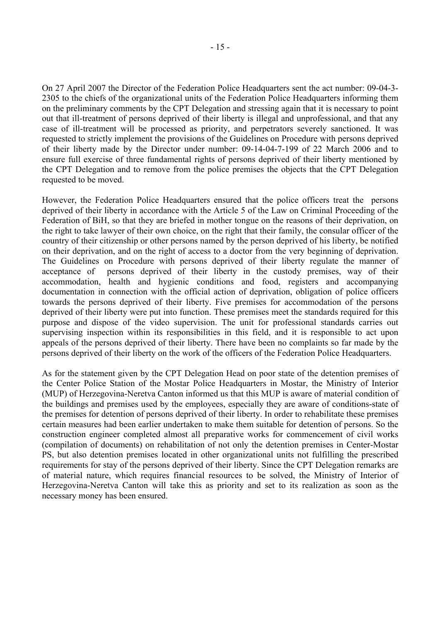On 27 April 2007 the Director of the Federation Police Headquarters sent the act number: 09-04-3- 2305 to the chiefs of the organizational units of the Federation Police Headquarters informing them on the preliminary comments by the CPT Delegation and stressing again that it is necessary to point out that ill-treatment of persons deprived of their liberty is illegal and unprofessional, and that any case of ill-treatment will be processed as priority, and perpetrators severely sanctioned. It was requested to strictly implement the provisions of the Guidelines on Procedure with persons deprived of their liberty made by the Director under number: 09-14-04-7-199 of 22 March 2006 and to ensure full exercise of three fundamental rights of persons deprived of their liberty mentioned by the CPT Delegation and to remove from the police premises the objects that the CPT Delegation requested to be moved.

However, the Federation Police Headquarters ensured that the police officers treat the persons deprived of their liberty in accordance with the Article 5 of the Law on Criminal Proceeding of the Federation of BiH, so that they are briefed in mother tongue on the reasons of their deprivation, on the right to take lawyer of their own choice, on the right that their family, the consular officer of the country of their citizenship or other persons named by the person deprived of his liberty, be notified on their deprivation, and on the right of access to a doctor from the very beginning of deprivation. The Guidelines on Procedure with persons deprived of their liberty regulate the manner of acceptance of persons deprived of their liberty in the custody premises, way of their accommodation, health and hygienic conditions and food, registers and accompanying documentation in connection with the official action of deprivation, obligation of police officers towards the persons deprived of their liberty. Five premises for accommodation of the persons deprived of their liberty were put into function. These premises meet the standards required for this purpose and dispose of the video supervision. The unit for professional standards carries out supervising inspection within its responsibilities in this field, and it is responsible to act upon appeals of the persons deprived of their liberty. There have been no complaints so far made by the persons deprived of their liberty on the work of the officers of the Federation Police Headquarters.

As for the statement given by the CPT Delegation Head on poor state of the detention premises of the Center Police Station of the Mostar Police Headquarters in Mostar, the Ministry of Interior (MUP) of Herzegovina-Neretva Canton informed us that this MUP is aware of material condition of the buildings and premises used by the employees, especially they are aware of conditions-state of the premises for detention of persons deprived of their liberty. In order to rehabilitate these premises certain measures had been earlier undertaken to make them suitable for detention of persons. So the construction engineer completed almost all preparative works for commencement of civil works (compilation of documents) on rehabilitation of not only the detention premises in Center-Mostar PS, but also detention premises located in other organizational units not fulfilling the prescribed requirements for stay of the persons deprived of their liberty. Since the CPT Delegation remarks are of material nature, which requires financial resources to be solved, the Ministry of Interior of Herzegovina-Neretva Canton will take this as priority and set to its realization as soon as the necessary money has been ensured.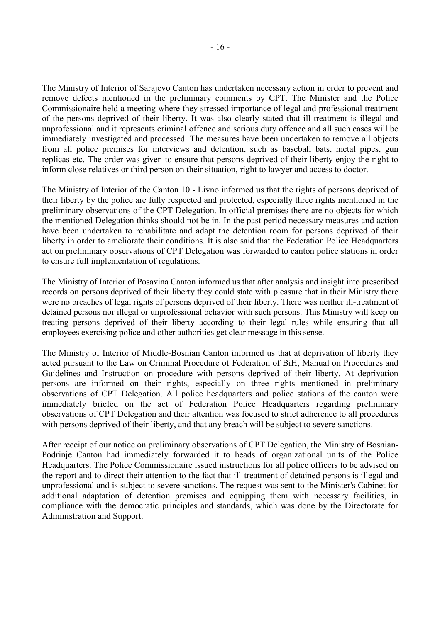The Ministry of Interior of Sarajevo Canton has undertaken necessary action in order to prevent and remove defects mentioned in the preliminary comments by CPT. The Minister and the Police Commissionaire held a meeting where they stressed importance of legal and professional treatment of the persons deprived of their liberty. It was also clearly stated that ill-treatment is illegal and unprofessional and it represents criminal offence and serious duty offence and all such cases will be immediately investigated and processed. The measures have been undertaken to remove all objects from all police premises for interviews and detention, such as baseball bats, metal pipes, gun replicas etc. The order was given to ensure that persons deprived of their liberty enjoy the right to inform close relatives or third person on their situation, right to lawyer and access to doctor.

The Ministry of Interior of the Canton 10 - Livno informed us that the rights of persons deprived of their liberty by the police are fully respected and protected, especially three rights mentioned in the preliminary observations of the CPT Delegation. In official premises there are no objects for which the mentioned Delegation thinks should not be in. In the past period necessary measures and action have been undertaken to rehabilitate and adapt the detention room for persons deprived of their liberty in order to ameliorate their conditions. It is also said that the Federation Police Headquarters act on preliminary observations of CPT Delegation was forwarded to canton police stations in order to ensure full implementation of regulations.

The Ministry of Interior of Posavina Canton informed us that after analysis and insight into prescribed records on persons deprived of their liberty they could state with pleasure that in their Ministry there were no breaches of legal rights of persons deprived of their liberty. There was neither ill-treatment of detained persons nor illegal or unprofessional behavior with such persons. This Ministry will keep on treating persons deprived of their liberty according to their legal rules while ensuring that all employees exercising police and other authorities get clear message in this sense.

The Ministry of Interior of Middle-Bosnian Canton informed us that at deprivation of liberty they acted pursuant to the Law on Criminal Procedure of Federation of BiH, Manual on Procedures and Guidelines and Instruction on procedure with persons deprived of their liberty. At deprivation persons are informed on their rights, especially on three rights mentioned in preliminary observations of CPT Delegation. All police headquarters and police stations of the canton were immediately briefed on the act of Federation Police Headquarters regarding preliminary observations of CPT Delegation and their attention was focused to strict adherence to all procedures with persons deprived of their liberty, and that any breach will be subject to severe sanctions.

After receipt of our notice on preliminary observations of CPT Delegation, the Ministry of Bosnian-Podrinje Canton had immediately forwarded it to heads of organizational units of the Police Headquarters. The Police Commissionaire issued instructions for all police officers to be advised on the report and to direct their attention to the fact that ill-treatment of detained persons is illegal and unprofessional and is subject to severe sanctions. The request was sent to the Minister's Cabinet for additional adaptation of detention premises and equipping them with necessary facilities, in compliance with the democratic principles and standards, which was done by the Directorate for Administration and Support.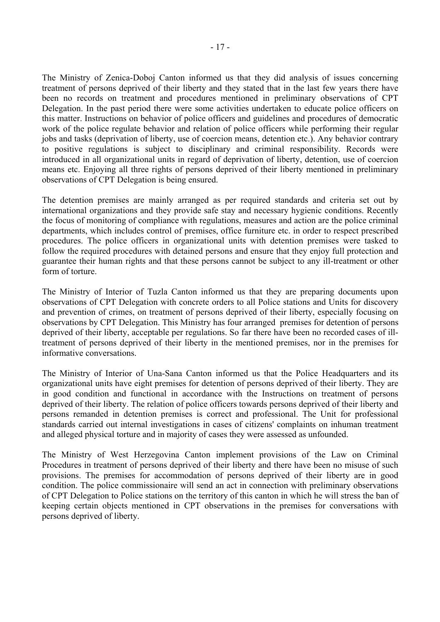The Ministry of Zenica-Doboj Canton informed us that they did analysis of issues concerning treatment of persons deprived of their liberty and they stated that in the last few years there have been no records on treatment and procedures mentioned in preliminary observations of CPT Delegation. In the past period there were some activities undertaken to educate police officers on this matter. Instructions on behavior of police officers and guidelines and procedures of democratic work of the police regulate behavior and relation of police officers while performing their regular jobs and tasks (deprivation of liberty, use of coercion means, detention etc.). Any behavior contrary to positive regulations is subject to disciplinary and criminal responsibility. Records were introduced in all organizational units in regard of deprivation of liberty, detention, use of coercion means etc. Enjoying all three rights of persons deprived of their liberty mentioned in preliminary observations of CPT Delegation is being ensured.

The detention premises are mainly arranged as per required standards and criteria set out by international organizations and they provide safe stay and necessary hygienic conditions. Recently the focus of monitoring of compliance with regulations, measures and action are the police criminal departments, which includes control of premises, office furniture etc. in order to respect prescribed procedures. The police officers in organizational units with detention premises were tasked to follow the required procedures with detained persons and ensure that they enjoy full protection and guarantee their human rights and that these persons cannot be subject to any ill-treatment or other form of torture.

The Ministry of Interior of Tuzla Canton informed us that they are preparing documents upon observations of CPT Delegation with concrete orders to all Police stations and Units for discovery and prevention of crimes, on treatment of persons deprived of their liberty, especially focusing on observations by CPT Delegation. This Ministry has four arranged premises for detention of persons deprived of their liberty, acceptable per regulations. So far there have been no recorded cases of illtreatment of persons deprived of their liberty in the mentioned premises, nor in the premises for informative conversations.

The Ministry of Interior of Una-Sana Canton informed us that the Police Headquarters and its organizational units have eight premises for detention of persons deprived of their liberty. They are in good condition and functional in accordance with the Instructions on treatment of persons deprived of their liberty. The relation of police officers towards persons deprived of their liberty and persons remanded in detention premises is correct and professional. The Unit for professional standards carried out internal investigations in cases of citizens' complaints on inhuman treatment and alleged physical torture and in majority of cases they were assessed as unfounded.

The Ministry of West Herzegovina Canton implement provisions of the Law on Criminal Procedures in treatment of persons deprived of their liberty and there have been no misuse of such provisions. The premises for accommodation of persons deprived of their liberty are in good condition. The police commissionaire will send an act in connection with preliminary observations of CPT Delegation to Police stations on the territory of this canton in which he will stress the ban of keeping certain objects mentioned in CPT observations in the premises for conversations with persons deprived of liberty.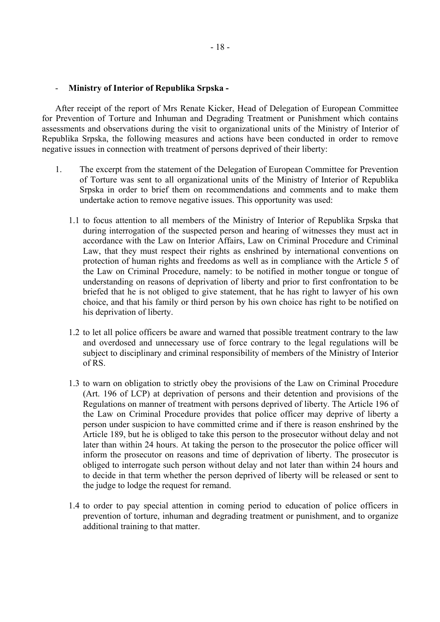#### - **Ministry of Interior of Republika Srpska -**

After receipt of the report of Mrs Renate Kicker, Head of Delegation of European Committee for Prevention of Torture and Inhuman and Degrading Treatment or Punishment which contains assessments and observations during the visit to organizational units of the Ministry of Interior of Republika Srpska, the following measures and actions have been conducted in order to remove negative issues in connection with treatment of persons deprived of their liberty:

- 1. The excerpt from the statement of the Delegation of European Committee for Prevention of Torture was sent to all organizational units of the Ministry of Interior of Republika Srpska in order to brief them on recommendations and comments and to make them undertake action to remove negative issues. This opportunity was used:
	- 1.1 to focus attention to all members of the Ministry of Interior of Republika Srpska that during interrogation of the suspected person and hearing of witnesses they must act in accordance with the Law on Interior Affairs, Law on Criminal Procedure and Criminal Law, that they must respect their rights as enshrined by international conventions on protection of human rights and freedoms as well as in compliance with the Article 5 of the Law on Criminal Procedure, namely: to be notified in mother tongue or tongue of understanding on reasons of deprivation of liberty and prior to first confrontation to be briefed that he is not obliged to give statement, that he has right to lawyer of his own choice, and that his family or third person by his own choice has right to be notified on his deprivation of liberty.
	- 1.2 to let all police officers be aware and warned that possible treatment contrary to the law and overdosed and unnecessary use of force contrary to the legal regulations will be subject to disciplinary and criminal responsibility of members of the Ministry of Interior of RS.
	- 1.3 to warn on obligation to strictly obey the provisions of the Law on Criminal Procedure (Art. 196 of LCP) at deprivation of persons and their detention and provisions of the Regulations on manner of treatment with persons deprived of liberty. The Article 196 of the Law on Criminal Procedure provides that police officer may deprive of liberty a person under suspicion to have committed crime and if there is reason enshrined by the Article 189, but he is obliged to take this person to the prosecutor without delay and not later than within 24 hours. At taking the person to the prosecutor the police officer will inform the prosecutor on reasons and time of deprivation of liberty. The prosecutor is obliged to interrogate such person without delay and not later than within 24 hours and to decide in that term whether the person deprived of liberty will be released or sent to the judge to lodge the request for remand.
	- 1.4 to order to pay special attention in coming period to education of police officers in prevention of torture, inhuman and degrading treatment or punishment, and to organize additional training to that matter.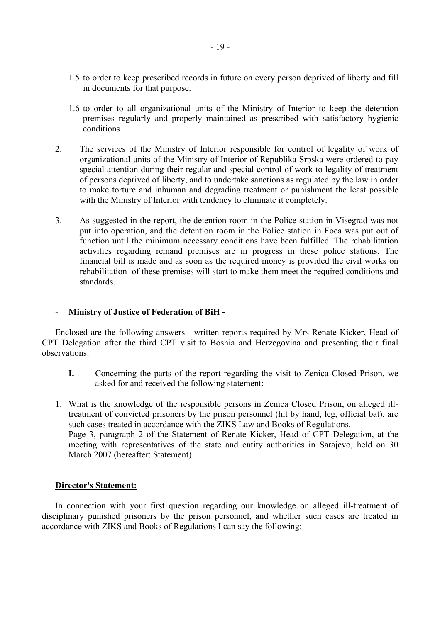- 1.5 to order to keep prescribed records in future on every person deprived of liberty and fill in documents for that purpose.
- 1.6 to order to all organizational units of the Ministry of Interior to keep the detention premises regularly and properly maintained as prescribed with satisfactory hygienic conditions.
- 2. The services of the Ministry of Interior responsible for control of legality of work of organizational units of the Ministry of Interior of Republika Srpska were ordered to pay special attention during their regular and special control of work to legality of treatment of persons deprived of liberty, and to undertake sanctions as regulated by the law in order to make torture and inhuman and degrading treatment or punishment the least possible with the Ministry of Interior with tendency to eliminate it completely.
- 3. As suggested in the report, the detention room in the Police station in Visegrad was not put into operation, and the detention room in the Police station in Foca was put out of function until the minimum necessary conditions have been fulfilled. The rehabilitation activities regarding remand premises are in progress in these police stations. The financial bill is made and as soon as the required money is provided the civil works on rehabilitation of these premises will start to make them meet the required conditions and standards.

#### - **Ministry of Justice of Federation of BiH -**

Enclosed are the following answers - written reports required by Mrs Renate Kicker, Head of CPT Delegation after the third CPT visit to Bosnia and Herzegovina and presenting their final observations:

- **I.** Concerning the parts of the report regarding the visit to Zenica Closed Prison, we asked for and received the following statement:
- 1. What is the knowledge of the responsible persons in Zenica Closed Prison, on alleged illtreatment of convicted prisoners by the prison personnel (hit by hand, leg, official bat), are such cases treated in accordance with the ZIKS Law and Books of Regulations. Page 3, paragraph 2 of the Statement of Renate Kicker, Head of CPT Delegation, at the meeting with representatives of the state and entity authorities in Sarajevo, held on 30 March 2007 (hereafter: Statement)

#### **Director's Statement:**

In connection with your first question regarding our knowledge on alleged ill-treatment of disciplinary punished prisoners by the prison personnel, and whether such cases are treated in accordance with ZIKS and Books of Regulations I can say the following: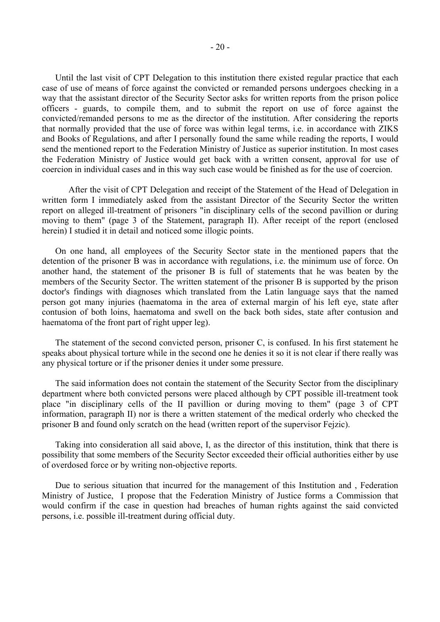Until the last visit of CPT Delegation to this institution there existed regular practice that each case of use of means of force against the convicted or remanded persons undergoes checking in a way that the assistant director of the Security Sector asks for written reports from the prison police officers - guards, to compile them, and to submit the report on use of force against the convicted/remanded persons to me as the director of the institution. After considering the reports that normally provided that the use of force was within legal terms, i.e. in accordance with ZIKS and Books of Regulations, and after I personally found the same while reading the reports, I would send the mentioned report to the Federation Ministry of Justice as superior institution. In most cases the Federation Ministry of Justice would get back with a written consent, approval for use of coercion in individual cases and in this way such case would be finished as for the use of coercion.

 After the visit of CPT Delegation and receipt of the Statement of the Head of Delegation in written form I immediately asked from the assistant Director of the Security Sector the written report on alleged ill-treatment of prisoners "in disciplinary cells of the second pavillion or during moving to them" (page 3 of the Statement, paragraph II). After receipt of the report (enclosed herein) I studied it in detail and noticed some illogic points.

On one hand, all employees of the Security Sector state in the mentioned papers that the detention of the prisoner B was in accordance with regulations, i.e. the minimum use of force. On another hand, the statement of the prisoner B is full of statements that he was beaten by the members of the Security Sector. The written statement of the prisoner B is supported by the prison doctor's findings with diagnoses which translated from the Latin language says that the named person got many injuries (haematoma in the area of external margin of his left eye, state after contusion of both loins, haematoma and swell on the back both sides, state after contusion and haematoma of the front part of right upper leg).

The statement of the second convicted person, prisoner C, is confused. In his first statement he speaks about physical torture while in the second one he denies it so it is not clear if there really was any physical torture or if the prisoner denies it under some pressure.

The said information does not contain the statement of the Security Sector from the disciplinary department where both convicted persons were placed although by CPT possible ill-treatment took place "in disciplinary cells of the II pavillion or during moving to them" (page 3 of CPT information, paragraph II) nor is there a written statement of the medical orderly who checked the prisoner B and found only scratch on the head (written report of the supervisor Fejzic).

Taking into consideration all said above, I, as the director of this institution, think that there is possibility that some members of the Security Sector exceeded their official authorities either by use of overdosed force or by writing non-objective reports.

Due to serious situation that incurred for the management of this Institution and , Federation Ministry of Justice, I propose that the Federation Ministry of Justice forms a Commission that would confirm if the case in question had breaches of human rights against the said convicted persons, i.e. possible ill-treatment during official duty.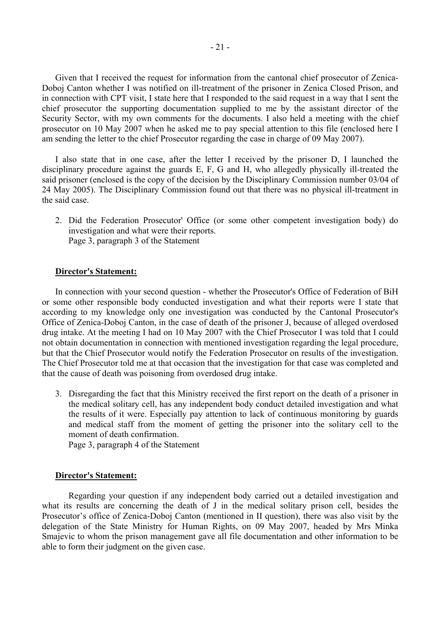Given that I received the request for information from the cantonal chief prosecutor of Zenica-Doboj Canton whether I was notified on ill-treatment of the prisoner in Zenica Closed Prison, and in connection with CPT visit, I state here that I responded to the said request in a way that I sent the chief prosecutor the supporting documentation supplied to me by the assistant director of the Security Sector, with my own comments for the documents. I also held a meeting with the chief prosecutor on 10 May 2007 when he asked me to pay special attention to this file (enclosed here I am sending the letter to the chief Prosecutor regarding the case in charge of 09 May 2007).

I also state that in one case, after the letter I received by the prisoner D, I launched the disciplinary procedure against the guards E, F, G and H, who allegedly physically ill-treated the said prisoner (enclosed is the copy of the decision by the Disciplinary Commission number 03/04 of 24 May 2005). The Disciplinary Commission found out that there was no physical ill-treatment in the said case.

2. Did the Federation Prosecutor' Office (or some other competent investigation body) do investigation and what were their reports. Page 3, paragraph 3 of the Statement

#### **Director's Statement:**

In connection with your second question - whether the Prosecutor's Office of Federation of BiH or some other responsible body conducted investigation and what their reports were I state that according to my knowledge only one investigation was conducted by the Cantonal Prosecutor's Office of Zenica-Doboj Canton, in the case of death of the prisoner J, because of alleged overdosed drug intake. At the meeting I had on 10 May 2007 with the Chief Prosecutor I was told that I could not obtain documentation in connection with mentioned investigation regarding the legal procedure, but that the Chief Prosecutor would notify the Federation Prosecutor on results of the investigation. The Chief Prosecutor told me at that occasion that the investigation for that case was completed and that the cause of death was poisoning from overdosed drug intake.

3. Disregarding the fact that this Ministry received the first report on the death of a prisoner in the medical solitary cell, has any independent body conduct detailed investigation and what the results of it were. Especially pay attention to lack of continuous monitoring by guards and medical staff from the moment of getting the prisoner into the solitary cell to the moment of death confirmation.

Page 3, paragraph 4 of the Statement

#### **Director's Statement:**

Regarding your question if any independent body carried out a detailed investigation and what its results are concerning the death of J in the medical solitary prison cell, besides the Prosecutor's office of Zenica-Doboj Canton (mentioned in II question), there was also visit by the delegation of the State Ministry for Human Rights, on 09 May 2007, headed by Mrs Minka Smajevic to whom the prison management gave all file documentation and other information to be able to form their judgment on the given case.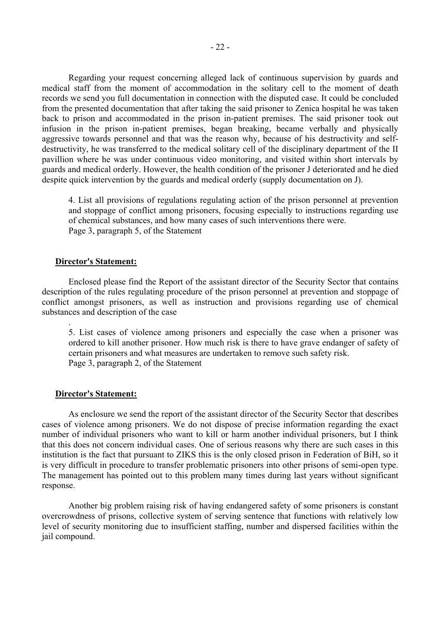Regarding your request concerning alleged lack of continuous supervision by guards and medical staff from the moment of accommodation in the solitary cell to the moment of death records we send you full documentation in connection with the disputed case. It could be concluded from the presented documentation that after taking the said prisoner to Zenica hospital he was taken back to prison and accommodated in the prison in-patient premises. The said prisoner took out infusion in the prison in-patient premises, began breaking, became verbally and physically aggressive towards personnel and that was the reason why, because of his destructivity and selfdestructivity, he was transferred to the medical solitary cell of the disciplinary department of the II pavillion where he was under continuous video monitoring, and visited within short intervals by guards and medical orderly. However, the health condition of the prisoner J deteriorated and he died despite quick intervention by the guards and medical orderly (supply documentation on J).

4. List all provisions of regulations regulating action of the prison personnel at prevention and stoppage of conflict among prisoners, focusing especially to instructions regarding use of chemical substances, and how many cases of such interventions there were. Page 3, paragraph 5, of the Statement

#### **Director's Statement:**

.

Enclosed please find the Report of the assistant director of the Security Sector that contains description of the rules regulating procedure of the prison personnel at prevention and stoppage of conflict amongst prisoners, as well as instruction and provisions regarding use of chemical substances and description of the case

5. List cases of violence among prisoners and especially the case when a prisoner was ordered to kill another prisoner. How much risk is there to have grave endanger of safety of certain prisoners and what measures are undertaken to remove such safety risk. Page 3, paragraph 2, of the Statement

#### **Director's Statement:**

As enclosure we send the report of the assistant director of the Security Sector that describes cases of violence among prisoners. We do not dispose of precise information regarding the exact number of individual prisoners who want to kill or harm another individual prisoners, but I think that this does not concern individual cases. One of serious reasons why there are such cases in this institution is the fact that pursuant to ZIKS this is the only closed prison in Federation of BiH, so it is very difficult in procedure to transfer problematic prisoners into other prisons of semi-open type. The management has pointed out to this problem many times during last years without significant response.

Another big problem raising risk of having endangered safety of some prisoners is constant overcrowdness of prisons, collective system of serving sentence that functions with relatively low level of security monitoring due to insufficient staffing, number and dispersed facilities within the jail compound.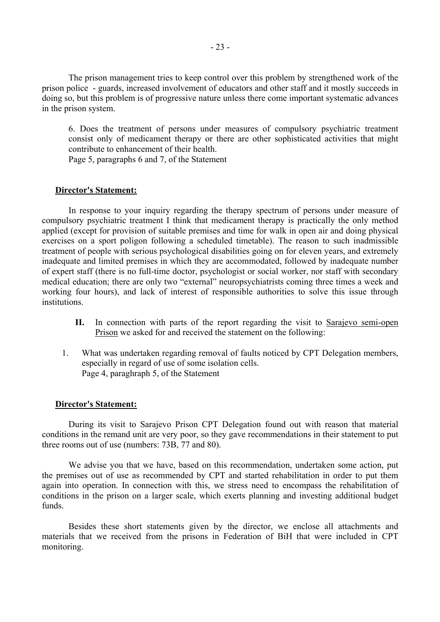The prison management tries to keep control over this problem by strengthened work of the prison police - guards, increased involvement of educators and other staff and it mostly succeeds in doing so, but this problem is of progressive nature unless there come important systematic advances in the prison system.

6. Does the treatment of persons under measures of compulsory psychiatric treatment consist only of medicament therapy or there are other sophisticated activities that might contribute to enhancement of their health.

Page 5, paragraphs 6 and 7, of the Statement

#### **Director's Statement:**

In response to your inquiry regarding the therapy spectrum of persons under measure of compulsory psychiatric treatment I think that medicament therapy is practically the only method applied (except for provision of suitable premises and time for walk in open air and doing physical exercises on a sport poligon following a scheduled timetable). The reason to such inadmissible treatment of people with serious psychological disabilities going on for eleven years, and extremely inadequate and limited premises in which they are accommodated, followed by inadequate number of expert staff (there is no full-time doctor, psychologist or social worker, nor staff with secondary medical education; there are only two "external" neuropsychiatrists coming three times a week and working four hours), and lack of interest of responsible authorities to solve this issue through institutions.

- **II.** In connection with parts of the report regarding the visit to Sarajevo semi-open Prison we asked for and received the statement on the following:
- 1. What was undertaken regarding removal of faults noticed by CPT Delegation members, especially in regard of use of some isolation cells. Page 4, paraghraph 5, of the Statement

#### **Director's Statement:**

 During its visit to Sarajevo Prison CPT Delegation found out with reason that material conditions in the remand unit are very poor, so they gave recommendations in their statement to put three rooms out of use (numbers: 73B, 77 and 80).

 We advise you that we have, based on this recommendation, undertaken some action, put the premises out of use as recommended by CPT and started rehabilitation in order to put them again into operation. In connection with this, we stress need to encompass the rehabilitation of conditions in the prison on a larger scale, which exerts planning and investing additional budget funds.

 Besides these short statements given by the director, we enclose all attachments and materials that we received from the prisons in Federation of BiH that were included in CPT monitoring.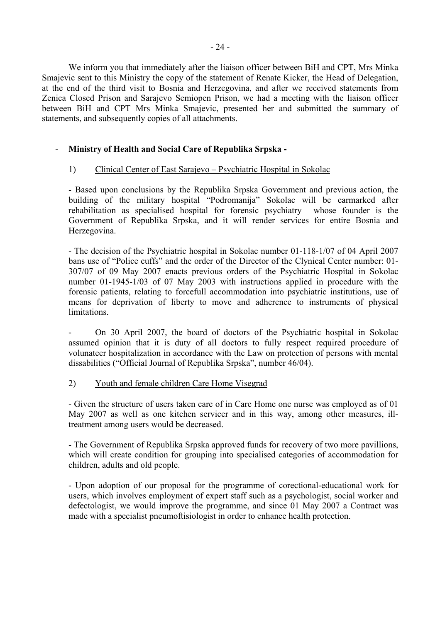We inform you that immediately after the liaison officer between BiH and CPT, Mrs Minka Smajevic sent to this Ministry the copy of the statement of Renate Kicker, the Head of Delegation, at the end of the third visit to Bosnia and Herzegovina, and after we received statements from Zenica Closed Prison and Sarajevo Semiopen Prison, we had a meeting with the liaison officer between BiH and CPT Mrs Minka Smajevic, presented her and submitted the summary of statements, and subsequently copies of all attachments.

# - **Ministry of Health and Social Care of Republika Srpska -**

# 1) Clinical Center of East Sarajevo – Psychiatric Hospital in Sokolac

- Based upon conclusions by the Republika Srpska Government and previous action, the building of the military hospital "Podromanija" Sokolac will be earmarked after rehabilitation as specialised hospital for forensic psychiatry whose founder is the Government of Republika Srpska, and it will render services for entire Bosnia and Herzegovina.

- The decision of the Psychiatric hospital in Sokolac number 01-118-1/07 of 04 April 2007 bans use of "Police cuffs" and the order of the Director of the Clynical Center number: 01- 307/07 of 09 May 2007 enacts previous orders of the Psychiatric Hospital in Sokolac number 01-1945-1/03 of 07 May 2003 with instructions applied in procedure with the forensic patients, relating to forcefull accommodation into psychiatric institutions, use of means for deprivation of liberty to move and adherence to instruments of physical limitations.

- On 30 April 2007, the board of doctors of the Psychiatric hospital in Sokolac assumed opinion that it is duty of all doctors to fully respect required procedure of volunateer hospitalization in accordance with the Law on protection of persons with mental dissabilities ("Official Journal of Republika Srpska", number 46/04).

# 2) Youth and female children Care Home Visegrad

- Given the structure of users taken care of in Care Home one nurse was employed as of 01 May 2007 as well as one kitchen servicer and in this way, among other measures, illtreatment among users would be decreased.

- The Government of Republika Srpska approved funds for recovery of two more pavillions, which will create condition for grouping into specialised categories of accommodation for children, adults and old people.

- Upon adoption of our proposal for the programme of corectional-educational work for users, which involves employment of expert staff such as a psychologist, social worker and defectologist, we would improve the programme, and since 01 May 2007 a Contract was made with a specialist pneumoftisiologist in order to enhance health protection.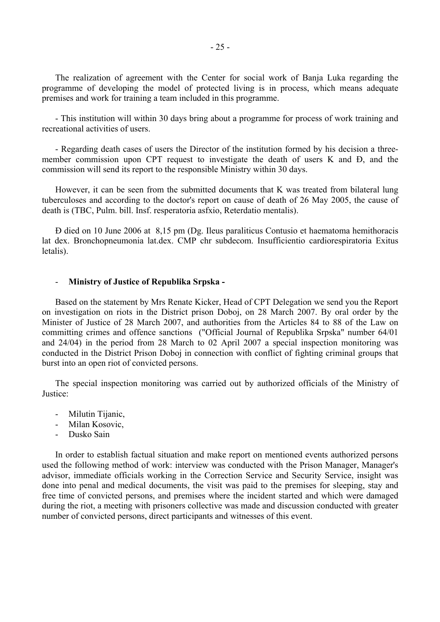The realization of agreement with the Center for social work of Banja Luka regarding the programme of developing the model of protected living is in process, which means adequate premises and work for training a team included in this programme.

- This institution will within 30 days bring about a programme for process of work training and recreational activities of users.

- Regarding death cases of users the Director of the institution formed by his decision a threemember commission upon CPT request to investigate the death of users K and Đ, and the commission will send its report to the responsible Ministry within 30 days.

However, it can be seen from the submitted documents that K was treated from bilateral lung tuberculoses and according to the doctor's report on cause of death of 26 May 2005, the cause of death is (TBC, Pulm. bill. Insf. resperatoria asfxio, Reterdatio mentalis).

Đ died on 10 June 2006 at 8,15 pm (Dg. Ileus paraliticus Contusio et haematoma hemithoracis lat dex. Bronchopneumonia lat.dex. CMP chr subdecom. Insufficientio cardiorespiratoria Exitus letalis).

#### - **Ministry of Justice of Republika Srpska -**

Based on the statement by Mrs Renate Kicker, Head of CPT Delegation we send you the Report on investigation on riots in the District prison Doboj, on 28 March 2007. By oral order by the Minister of Justice of 28 March 2007, and authorities from the Articles 84 to 88 of the Law on committing crimes and offence sanctions ("Official Journal of Republika Srpska" number 64/01 and 24/04) in the period from 28 March to 02 April 2007 a special inspection monitoring was conducted in the District Prison Doboj in connection with conflict of fighting criminal groups that burst into an open riot of convicted persons.

The special inspection monitoring was carried out by authorized officials of the Ministry of Justice:

- Milutin Tijanic,
- Milan Kosovic,
- Dusko Sain

In order to establish factual situation and make report on mentioned events authorized persons used the following method of work: interview was conducted with the Prison Manager, Manager's advisor, immediate officials working in the Correction Service and Security Service, insight was done into penal and medical documents, the visit was paid to the premises for sleeping, stay and free time of convicted persons, and premises where the incident started and which were damaged during the riot, a meeting with prisoners collective was made and discussion conducted with greater number of convicted persons, direct participants and witnesses of this event.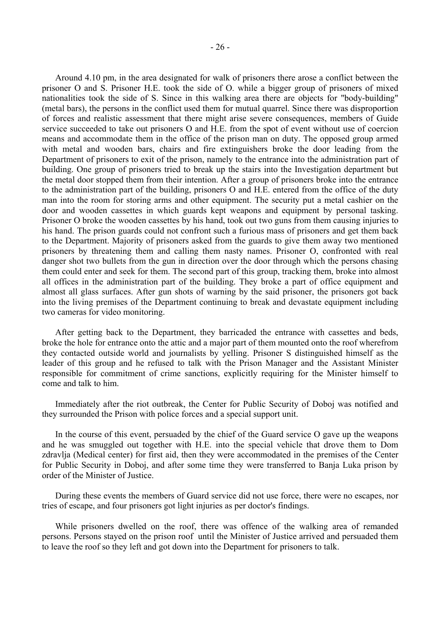Around 4.10 pm, in the area designated for walk of prisoners there arose a conflict between the prisoner O and S. Prisoner H.E. took the side of O. while a bigger group of prisoners of mixed nationalities took the side of S. Since in this walking area there are objects for "body-building" (metal bars), the persons in the conflict used them for mutual quarrel. Since there was disproportion of forces and realistic assessment that there might arise severe consequences, members of Guide service succeeded to take out prisoners O and H.E. from the spot of event without use of coercion means and accommodate them in the office of the prison man on duty. The opposed group armed with metal and wooden bars, chairs and fire extinguishers broke the door leading from the Department of prisoners to exit of the prison, namely to the entrance into the administration part of building. One group of prisoners tried to break up the stairs into the Investigation department but the metal door stopped them from their intention. After a group of prisoners broke into the entrance to the administration part of the building, prisoners O and H.E. entered from the office of the duty man into the room for storing arms and other equipment. The security put a metal cashier on the door and wooden cassettes in which guards kept weapons and equipment by personal tasking. Prisoner O broke the wooden cassettes by his hand, took out two guns from them causing injuries to his hand. The prison guards could not confront such a furious mass of prisoners and get them back to the Department. Majority of prisoners asked from the guards to give them away two mentioned prisoners by threatening them and calling them nasty names. Prisoner O, confronted with real danger shot two bullets from the gun in direction over the door through which the persons chasing them could enter and seek for them. The second part of this group, tracking them, broke into almost all offices in the administration part of the building. They broke a part of office equipment and almost all glass surfaces. After gun shots of warning by the said prisoner, the prisoners got back into the living premises of the Department continuing to break and devastate equipment including two cameras for video monitoring.

After getting back to the Department, they barricaded the entrance with cassettes and beds, broke the hole for entrance onto the attic and a major part of them mounted onto the roof wherefrom they contacted outside world and journalists by yelling. Prisoner S distinguished himself as the leader of this group and he refused to talk with the Prison Manager and the Assistant Minister responsible for commitment of crime sanctions, explicitly requiring for the Minister himself to come and talk to him.

Immediately after the riot outbreak, the Center for Public Security of Doboj was notified and they surrounded the Prison with police forces and a special support unit.

In the course of this event, persuaded by the chief of the Guard service O gave up the weapons and he was smuggled out together with H.E. into the special vehicle that drove them to Dom zdravlja (Medical center) for first aid, then they were accommodated in the premises of the Center for Public Security in Doboj, and after some time they were transferred to Banja Luka prison by order of the Minister of Justice.

During these events the members of Guard service did not use force, there were no escapes, nor tries of escape, and four prisoners got light injuries as per doctor's findings.

While prisoners dwelled on the roof, there was offence of the walking area of remanded persons. Persons stayed on the prison roof until the Minister of Justice arrived and persuaded them to leave the roof so they left and got down into the Department for prisoners to talk.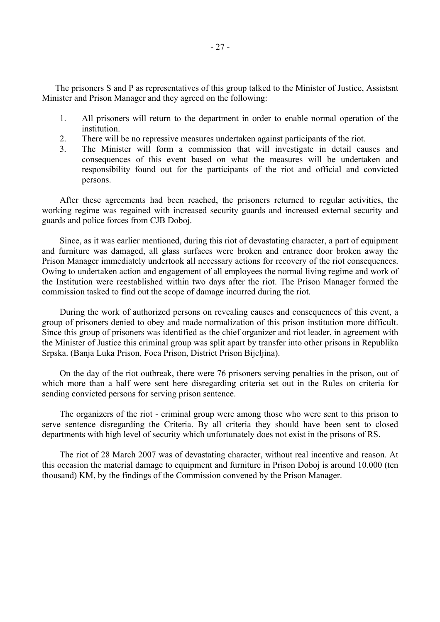The prisoners S and P as representatives of this group talked to the Minister of Justice, Assistsnt Minister and Prison Manager and they agreed on the following:

- 1. All prisoners will return to the department in order to enable normal operation of the institution.
- 2. There will be no repressive measures undertaken against participants of the riot.
- 3. The Minister will form a commission that will investigate in detail causes and consequences of this event based on what the measures will be undertaken and responsibility found out for the participants of the riot and official and convicted persons.

After these agreements had been reached, the prisoners returned to regular activities, the working regime was regained with increased security guards and increased external security and guards and police forces from CJB Doboj.

Since, as it was earlier mentioned, during this riot of devastating character, a part of equipment and furniture was damaged, all glass surfaces were broken and entrance door broken away the Prison Manager immediately undertook all necessary actions for recovery of the riot consequences. Owing to undertaken action and engagement of all employees the normal living regime and work of the Institution were reestablished within two days after the riot. The Prison Manager formed the commission tasked to find out the scope of damage incurred during the riot.

During the work of authorized persons on revealing causes and consequences of this event, a group of prisoners denied to obey and made normalization of this prison institution more difficult. Since this group of prisoners was identified as the chief organizer and riot leader, in agreement with the Minister of Justice this criminal group was split apart by transfer into other prisons in Republika Srpska. (Banja Luka Prison, Foca Prison, District Prison Bijeljina).

On the day of the riot outbreak, there were 76 prisoners serving penalties in the prison, out of which more than a half were sent here disregarding criteria set out in the Rules on criteria for sending convicted persons for serving prison sentence.

The organizers of the riot - criminal group were among those who were sent to this prison to serve sentence disregarding the Criteria. By all criteria they should have been sent to closed departments with high level of security which unfortunately does not exist in the prisons of RS.

The riot of 28 March 2007 was of devastating character, without real incentive and reason. At this occasion the material damage to equipment and furniture in Prison Doboj is around 10.000 (ten thousand) KM, by the findings of the Commission convened by the Prison Manager.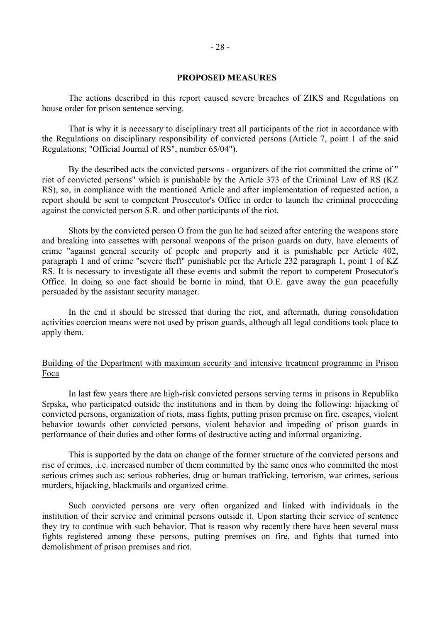#### **PROPOSED MEASURES**

 The actions described in this report caused severe breaches of ZIKS and Regulations on house order for prison sentence serving.

 That is why it is necessary to disciplinary treat all participants of the riot in accordance with the Regulations on disciplinary responsibility of convicted persons (Article 7, point 1 of the said Regulations; "Official Journal of RS", number 65/04").

 By the described acts the convicted persons - organizers of the riot committed the crime of " riot of convicted persons" which is punishable by the Article 373 of the Criminal Law of RS (KZ RS), so, in compliance with the mentioned Article and after implementation of requested action, a report should be sent to competent Prosecutor's Office in order to launch the criminal proceeding against the convicted person S.R. and other participants of the riot.

 Shots by the convicted person O from the gun he had seized after entering the weapons store and breaking into cassettes with personal weapons of the prison guards on duty, have elements of crime "against general security of people and property and it is punishable per Article 402, paragraph 1 and of crime "severe theft" punishable per the Article 232 paragraph 1, point 1 of KZ RS. It is necessary to investigate all these events and submit the report to competent Prosecutor's Office. In doing so one fact should be borne in mind, that O.E. gave away the gun peacefully persuaded by the assistant security manager.

 In the end it should be stressed that during the riot, and aftermath, during consolidation activities coercion means were not used by prison guards, although all legal conditions took place to apply them.

#### Building of the Department with maximum security and intensive treatment programme in Prison Foca

 In last few years there are high-risk convicted persons serving terms in prisons in Republika Srpska, who participated outside the institutions and in them by doing the following: hijacking of convicted persons, organization of riots, mass fights, putting prison premise on fire, escapes, violent behavior towards other convicted persons, violent behavior and impeding of prison guards in performance of their duties and other forms of destructive acting and informal organizing.

 This is supported by the data on change of the former structure of the convicted persons and rise of crimes, .i.e. increased number of them committed by the same ones who committed the most serious crimes such as: serious robberies, drug or human trafficking, terrorism, war crimes, serious murders, hijacking, blackmails and organized crime.

 Such convicted persons are very often organized and linked with individuals in the institution of their service and criminal persons outside it. Upon starting their service of sentence they try to continue with such behavior. That is reason why recently there have been several mass fights registered among these persons, putting premises on fire, and fights that turned into demolishment of prison premises and riot.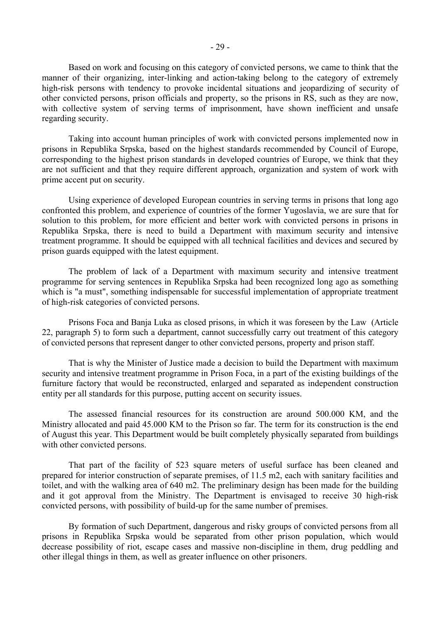Based on work and focusing on this category of convicted persons, we came to think that the manner of their organizing, inter-linking and action-taking belong to the category of extremely high-risk persons with tendency to provoke incidental situations and jeopardizing of security of other convicted persons, prison officials and property, so the prisons in RS, such as they are now, with collective system of serving terms of imprisonment, have shown inefficient and unsafe regarding security.

 Taking into account human principles of work with convicted persons implemented now in prisons in Republika Srpska, based on the highest standards recommended by Council of Europe, corresponding to the highest prison standards in developed countries of Europe, we think that they are not sufficient and that they require different approach, organization and system of work with prime accent put on security.

 Using experience of developed European countries in serving terms in prisons that long ago confronted this problem, and experience of countries of the former Yugoslavia, we are sure that for solution to this problem, for more efficient and better work with convicted persons in prisons in Republika Srpska, there is need to build a Department with maximum security and intensive treatment programme. It should be equipped with all technical facilities and devices and secured by prison guards equipped with the latest equipment.

 The problem of lack of a Department with maximum security and intensive treatment programme for serving sentences in Republika Srpska had been recognized long ago as something which is "a must", something indispensable for successful implementation of appropriate treatment of high-risk categories of convicted persons.

 Prisons Foca and Banja Luka as closed prisons, in which it was foreseen by the Law (Article 22, paragraph 5) to form such a department, cannot successfully carry out treatment of this category of convicted persons that represent danger to other convicted persons, property and prison staff.

 That is why the Minister of Justice made a decision to build the Department with maximum security and intensive treatment programme in Prison Foca, in a part of the existing buildings of the furniture factory that would be reconstructed, enlarged and separated as independent construction entity per all standards for this purpose, putting accent on security issues.

 The assessed financial resources for its construction are around 500.000 KM, and the Ministry allocated and paid 45.000 KM to the Prison so far. The term for its construction is the end of August this year. This Department would be built completely physically separated from buildings with other convicted persons.

 That part of the facility of 523 square meters of useful surface has been cleaned and prepared for interior construction of separate premises, of 11.5 m2, each with sanitary facilities and toilet, and with the walking area of 640 m2. The preliminary design has been made for the building and it got approval from the Ministry. The Department is envisaged to receive 30 high-risk convicted persons, with possibility of build-up for the same number of premises.

 By formation of such Department, dangerous and risky groups of convicted persons from all prisons in Republika Srpska would be separated from other prison population, which would decrease possibility of riot, escape cases and massive non-discipline in them, drug peddling and other illegal things in them, as well as greater influence on other prisoners.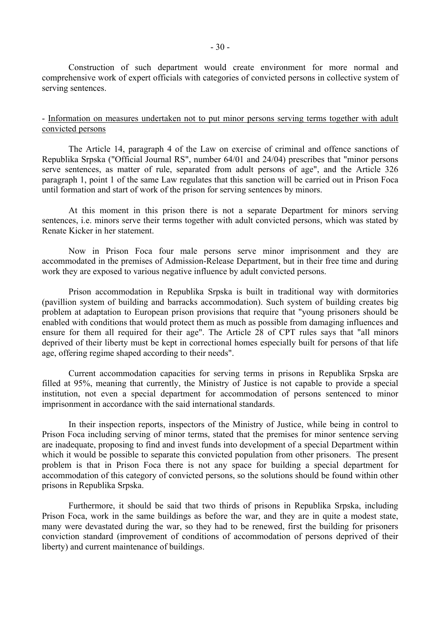Construction of such department would create environment for more normal and comprehensive work of expert officials with categories of convicted persons in collective system of serving sentences.

#### - Information on measures undertaken not to put minor persons serving terms together with adult convicted persons

 The Article 14, paragraph 4 of the Law on exercise of criminal and offence sanctions of Republika Srpska ("Official Journal RS", number 64/01 and 24/04) prescribes that "minor persons serve sentences, as matter of rule, separated from adult persons of age", and the Article 326 paragraph 1, point 1 of the same Law regulates that this sanction will be carried out in Prison Foca until formation and start of work of the prison for serving sentences by minors.

 At this moment in this prison there is not a separate Department for minors serving sentences, i.e. minors serve their terms together with adult convicted persons, which was stated by Renate Kicker in her statement.

 Now in Prison Foca four male persons serve minor imprisonment and they are accommodated in the premises of Admission-Release Department, but in their free time and during work they are exposed to various negative influence by adult convicted persons.

 Prison accommodation in Republika Srpska is built in traditional way with dormitories (pavillion system of building and barracks accommodation). Such system of building creates big problem at adaptation to European prison provisions that require that "young prisoners should be enabled with conditions that would protect them as much as possible from damaging influences and ensure for them all required for their age". The Article 28 of CPT rules says that "all minors deprived of their liberty must be kept in correctional homes especially built for persons of that life age, offering regime shaped according to their needs".

 Current accommodation capacities for serving terms in prisons in Republika Srpska are filled at 95%, meaning that currently, the Ministry of Justice is not capable to provide a special institution, not even a special department for accommodation of persons sentenced to minor imprisonment in accordance with the said international standards.

 In their inspection reports, inspectors of the Ministry of Justice, while being in control to Prison Foca including serving of minor terms, stated that the premises for minor sentence serving are inadequate, proposing to find and invest funds into development of a special Department within which it would be possible to separate this convicted population from other prisoners. The present problem is that in Prison Foca there is not any space for building a special department for accommodation of this category of convicted persons, so the solutions should be found within other prisons in Republika Srpska.

 Furthermore, it should be said that two thirds of prisons in Republika Srpska, including Prison Foca, work in the same buildings as before the war, and they are in quite a modest state, many were devastated during the war, so they had to be renewed, first the building for prisoners conviction standard (improvement of conditions of accommodation of persons deprived of their liberty) and current maintenance of buildings.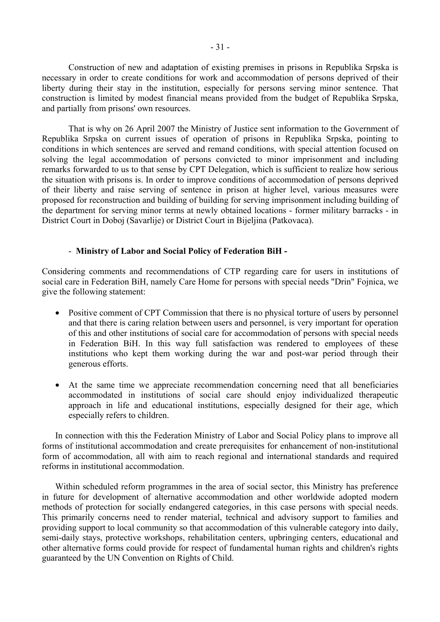Construction of new and adaptation of existing premises in prisons in Republika Srpska is necessary in order to create conditions for work and accommodation of persons deprived of their liberty during their stay in the institution, especially for persons serving minor sentence. That construction is limited by modest financial means provided from the budget of Republika Srpska, and partially from prisons' own resources.

 That is why on 26 April 2007 the Ministry of Justice sent information to the Government of Republika Srpska on current issues of operation of prisons in Republika Srpska, pointing to conditions in which sentences are served and remand conditions, with special attention focused on solving the legal accommodation of persons convicted to minor imprisonment and including remarks forwarded to us to that sense by CPT Delegation, which is sufficient to realize how serious the situation with prisons is. In order to improve conditions of accommodation of persons deprived of their liberty and raise serving of sentence in prison at higher level, various measures were proposed for reconstruction and building of building for serving imprisonment including building of the department for serving minor terms at newly obtained locations - former military barracks - in District Court in Doboj (Savarlije) or District Court in Bijeljina (Patkovaca).

#### - **Ministry of Labor and Social Policy of Federation BiH -**

Considering comments and recommendations of CTP regarding care for users in institutions of social care in Federation BiH, namely Care Home for persons with special needs "Drin" Fojnica, we give the following statement:

- Positive comment of CPT Commission that there is no physical torture of users by personnel and that there is caring relation between users and personnel, is very important for operation of this and other institutions of social care for accommodation of persons with special needs in Federation BiH. In this way full satisfaction was rendered to employees of these institutions who kept them working during the war and post-war period through their generous efforts.
- At the same time we appreciate recommendation concerning need that all beneficiaries accommodated in institutions of social care should enjoy individualized therapeutic approach in life and educational institutions, especially designed for their age, which especially refers to children.

In connection with this the Federation Ministry of Labor and Social Policy plans to improve all forms of institutional accommodation and create prerequisites for enhancement of non-institutional form of accommodation, all with aim to reach regional and international standards and required reforms in institutional accommodation.

Within scheduled reform programmes in the area of social sector, this Ministry has preference in future for development of alternative accommodation and other worldwide adopted modern methods of protection for socially endangered categories, in this case persons with special needs. This primarily concerns need to render material, technical and advisory support to families and providing support to local community so that accommodation of this vulnerable category into daily, semi-daily stays, protective workshops, rehabilitation centers, upbringing centers, educational and other alternative forms could provide for respect of fundamental human rights and children's rights guaranteed by the UN Convention on Rights of Child.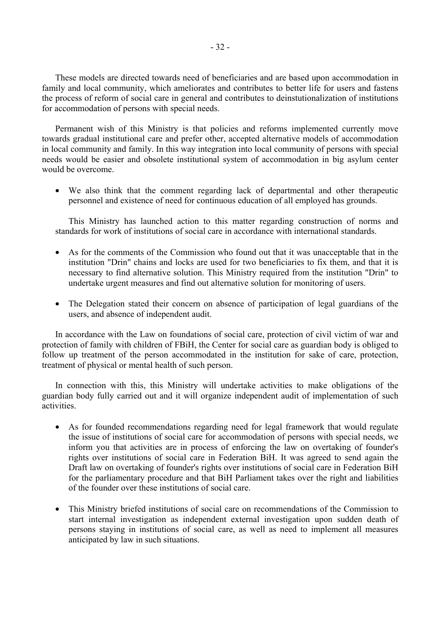These models are directed towards need of beneficiaries and are based upon accommodation in family and local community, which ameliorates and contributes to better life for users and fastens the process of reform of social care in general and contributes to deinstutionalization of institutions for accommodation of persons with special needs.

Permanent wish of this Ministry is that policies and reforms implemented currently move towards gradual institutional care and prefer other, accepted alternative models of accommodation in local community and family. In this way integration into local community of persons with special needs would be easier and obsolete institutional system of accommodation in big asylum center would be overcome.

• We also think that the comment regarding lack of departmental and other therapeutic personnel and existence of need for continuous education of all employed has grounds.

This Ministry has launched action to this matter regarding construction of norms and standards for work of institutions of social care in accordance with international standards.

- As for the comments of the Commission who found out that it was unacceptable that in the institution "Drin" chains and locks are used for two beneficiaries to fix them, and that it is necessary to find alternative solution. This Ministry required from the institution "Drin" to undertake urgent measures and find out alternative solution for monitoring of users.
- The Delegation stated their concern on absence of participation of legal guardians of the users, and absence of independent audit.

In accordance with the Law on foundations of social care, protection of civil victim of war and protection of family with children of FBiH, the Center for social care as guardian body is obliged to follow up treatment of the person accommodated in the institution for sake of care, protection, treatment of physical or mental health of such person.

In connection with this, this Ministry will undertake activities to make obligations of the guardian body fully carried out and it will organize independent audit of implementation of such activities.

- As for founded recommendations regarding need for legal framework that would regulate the issue of institutions of social care for accommodation of persons with special needs, we inform you that activities are in process of enforcing the law on overtaking of founder's rights over institutions of social care in Federation BiH. It was agreed to send again the Draft law on overtaking of founder's rights over institutions of social care in Federation BiH for the parliamentary procedure and that BiH Parliament takes over the right and liabilities of the founder over these institutions of social care.
- This Ministry briefed institutions of social care on recommendations of the Commission to start internal investigation as independent external investigation upon sudden death of persons staying in institutions of social care, as well as need to implement all measures anticipated by law in such situations.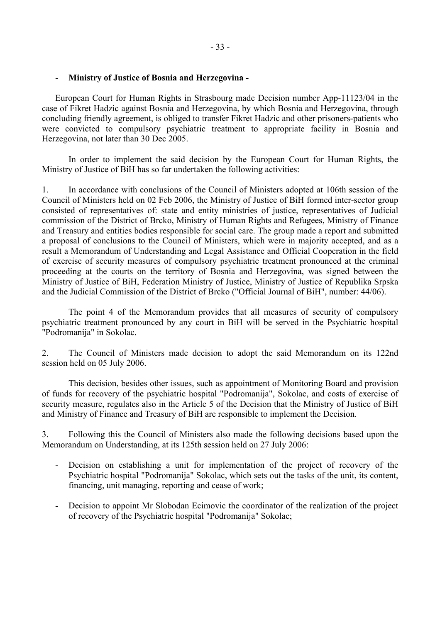## - **Ministry of Justice of Bosnia and Herzegovina -**

European Court for Human Rights in Strasbourg made Decision number App-11123/04 in the case of Fikret Hadzic against Bosnia and Herzegovina, by which Bosnia and Herzegovina, through concluding friendly agreement, is obliged to transfer Fikret Hadzic and other prisoners-patients who were convicted to compulsory psychiatric treatment to appropriate facility in Bosnia and Herzegovina, not later than 30 Dec 2005.

 In order to implement the said decision by the European Court for Human Rights, the Ministry of Justice of BiH has so far undertaken the following activities:

1. In accordance with conclusions of the Council of Ministers adopted at 106th session of the Council of Ministers held on 02 Feb 2006, the Ministry of Justice of BiH formed inter-sector group consisted of representatives of: state and entity ministries of justice, representatives of Judicial commission of the District of Brcko, Ministry of Human Rights and Refugees, Ministry of Finance and Treasury and entities bodies responsible for social care. The group made a report and submitted a proposal of conclusions to the Council of Ministers, which were in majority accepted, and as a result a Memorandum of Understanding and Legal Assistance and Official Cooperation in the field of exercise of security measures of compulsory psychiatric treatment pronounced at the criminal proceeding at the courts on the territory of Bosnia and Herzegovina, was signed between the Ministry of Justice of BiH, Federation Ministry of Justice, Ministry of Justice of Republika Srpska and the Judicial Commission of the District of Brcko ("Official Journal of BiH", number: 44/06).

 The point 4 of the Memorandum provides that all measures of security of compulsory psychiatric treatment pronounced by any court in BiH will be served in the Psychiatric hospital "Podromanija" in Sokolac.

2. The Council of Ministers made decision to adopt the said Memorandum on its 122nd session held on 05 July 2006.

 This decision, besides other issues, such as appointment of Monitoring Board and provision of funds for recovery of the psychiatric hospital "Podromanija", Sokolac, and costs of exercise of security measure, regulates also in the Article 5 of the Decision that the Ministry of Justice of BiH and Ministry of Finance and Treasury of BiH are responsible to implement the Decision.

3. Following this the Council of Ministers also made the following decisions based upon the Memorandum on Understanding, at its 125th session held on 27 July 2006:

- Decision on establishing a unit for implementation of the project of recovery of the Psychiatric hospital "Podromanija" Sokolac, which sets out the tasks of the unit, its content, financing, unit managing, reporting and cease of work;
- Decision to appoint Mr Slobodan Ecimovic the coordinator of the realization of the project of recovery of the Psychiatric hospital "Podromanija" Sokolac;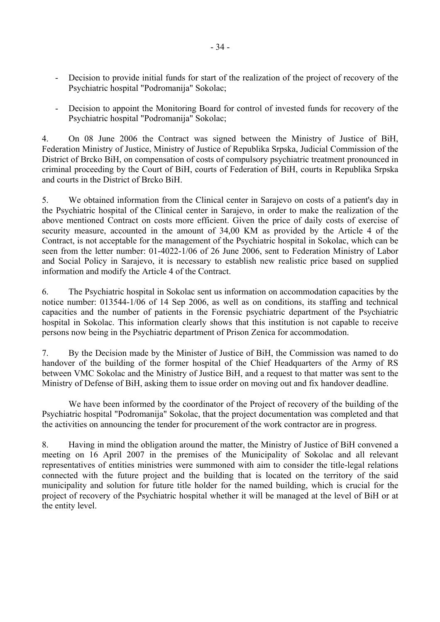- Decision to provide initial funds for start of the realization of the project of recovery of the Psychiatric hospital "Podromanija" Sokolac;
- Decision to appoint the Monitoring Board for control of invested funds for recovery of the Psychiatric hospital "Podromanija" Sokolac;

4. On 08 June 2006 the Contract was signed between the Ministry of Justice of BiH, Federation Ministry of Justice, Ministry of Justice of Republika Srpska, Judicial Commission of the District of Brcko BiH, on compensation of costs of compulsory psychiatric treatment pronounced in criminal proceeding by the Court of BiH, courts of Federation of BiH, courts in Republika Srpska and courts in the District of Brcko BiH.

5. We obtained information from the Clinical center in Sarajevo on costs of a patient's day in the Psychiatric hospital of the Clinical center in Sarajevo, in order to make the realization of the above mentioned Contract on costs more efficient. Given the price of daily costs of exercise of security measure, accounted in the amount of 34,00 KM as provided by the Article 4 of the Contract, is not acceptable for the management of the Psychiatric hospital in Sokolac, which can be seen from the letter number: 01-4022-1/06 of 26 June 2006, sent to Federation Ministry of Labor and Social Policy in Sarajevo, it is necessary to establish new realistic price based on supplied information and modify the Article 4 of the Contract.

6. The Psychiatric hospital in Sokolac sent us information on accommodation capacities by the notice number: 013544-1/06 of 14 Sep 2006, as well as on conditions, its staffing and technical capacities and the number of patients in the Forensic psychiatric department of the Psychiatric hospital in Sokolac. This information clearly shows that this institution is not capable to receive persons now being in the Psychiatric department of Prison Zenica for accommodation.

7. By the Decision made by the Minister of Justice of BiH, the Commission was named to do handover of the building of the former hospital of the Chief Headquarters of the Army of RS between VMC Sokolac and the Ministry of Justice BiH, and a request to that matter was sent to the Ministry of Defense of BiH, asking them to issue order on moving out and fix handover deadline.

 We have been informed by the coordinator of the Project of recovery of the building of the Psychiatric hospital "Podromanija" Sokolac, that the project documentation was completed and that the activities on announcing the tender for procurement of the work contractor are in progress.

8. Having in mind the obligation around the matter, the Ministry of Justice of BiH convened a meeting on 16 April 2007 in the premises of the Municipality of Sokolac and all relevant representatives of entities ministries were summoned with aim to consider the title-legal relations connected with the future project and the building that is located on the territory of the said municipality and solution for future title holder for the named building, which is crucial for the project of recovery of the Psychiatric hospital whether it will be managed at the level of BiH or at the entity level.